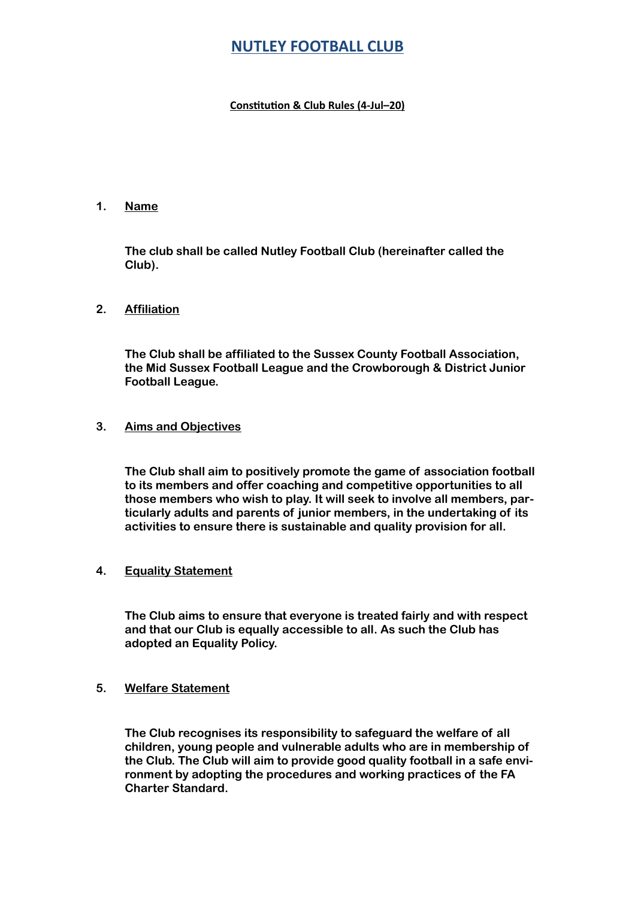# **NUTLEY FOOTBALL CLUB**

## **Constitution & Club Rules (4-Jul-20)**

## **1. Name**

**The club shall be called Nutley Football Club (hereinafter called the Club).** 

### **2. Affiliation**

**The Club shall be affiliated to the Sussex County Football Association, the Mid Sussex Football League and the Crowborough & District Junior Football League.** 

#### **3. Aims and Objectives**

 **The Club shall aim to positively promote the game of association football to its members and offer coaching and competitive opportunities to all those members who wish to play. It will seek to involve all members, particularly adults and parents of junior members, in the undertaking of its activities to ensure there is sustainable and quality provision for all.** 

#### **4. Equality Statement**

**The Club aims to ensure that everyone is treated fairly and with respect and that our Club is equally accessible to all. As such the Club has adopted an Equality Policy.** 

#### **5. Welfare Statement**

**The Club recognises its responsibility to safeguard the welfare of all children, young people and vulnerable adults who are in membership of the Club. The Club will aim to provide good quality football in a safe environment by adopting the procedures and working practices of the FA Charter Standard.**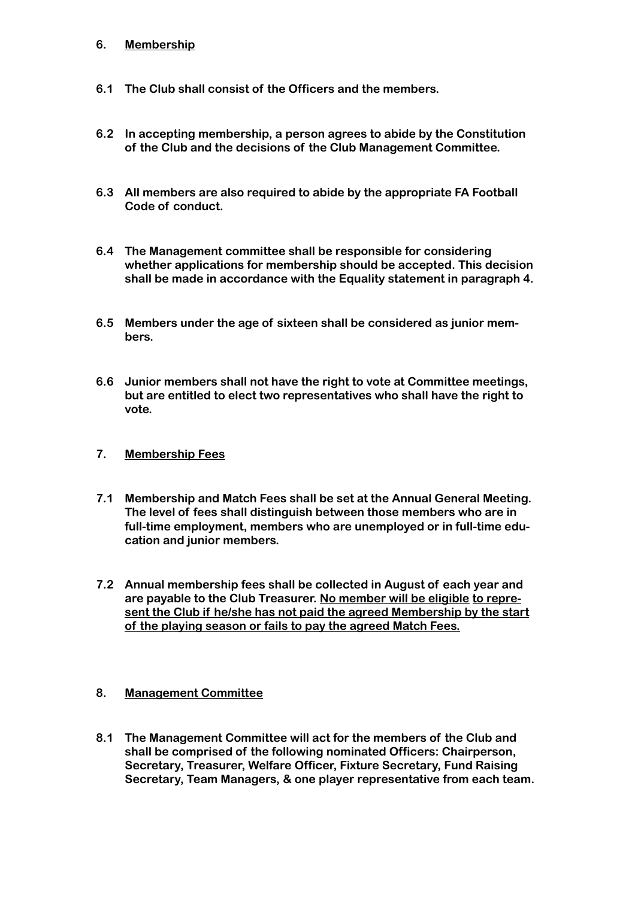## **6. Membership**

- **6.1 The Club shall consist of the Officers and the members.**
- **6.2 In accepting membership, a person agrees to abide by the Constitution of the Club and the decisions of the Club Management Committee.**
- **6.3 All members are also required to abide by the appropriate FA Football Code of conduct.**
- **6.4 The Management committee shall be responsible for considering whether applications for membership should be accepted. This decision shall be made in accordance with the Equality statement in paragraph 4.**
- **6.5 Members under the age of sixteen shall be considered as junior members.**
- **6.6 Junior members shall not have the right to vote at Committee meetings, but are entitled to elect two representatives who shall have the right to vote.**
- **7. Membership Fees**
- **7.1 Membership and Match Fees shall be set at the Annual General Meeting. The level of fees shall distinguish between those members who are in full-time employment, members who are unemployed or in full-time education and junior members.**
- **7.2 Annual membership fees shall be collected in August of each year and are payable to the Club Treasurer. No member will be eligible to represent the Club if he/she has not paid the agreed Membership by the start of the playing season or fails to pay the agreed Match Fees.**

## **8. Management Committee**

**8.1 The Management Committee will act for the members of the Club and shall be comprised of the following nominated Officers: Chairperson, Secretary, Treasurer, Welfare Officer, Fixture Secretary, Fund Raising Secretary, Team Managers, & one player representative from each team.**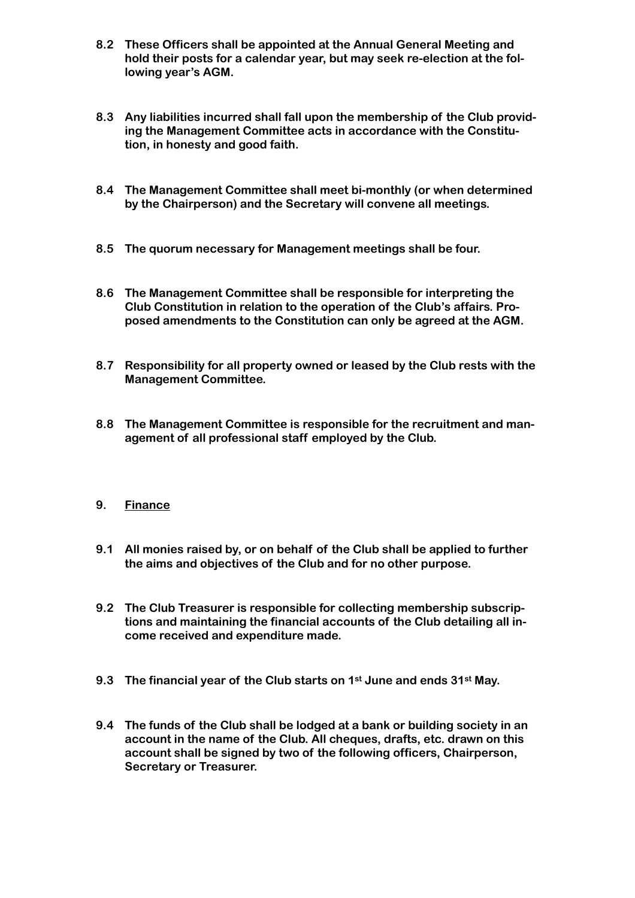- **8.2 These Officers shall be appointed at the Annual General Meeting and hold their posts for a calendar year, but may seek re-election at the following year's AGM.**
- **8.3 Any liabilities incurred shall fall upon the membership of the Club providing the Management Committee acts in accordance with the Constitution, in honesty and good faith.**
- **8.4 The Management Committee shall meet bi-monthly (or when determined by the Chairperson) and the Secretary will convene all meetings.**
- **8.5 The quorum necessary for Management meetings shall be four.**
- **8.6 The Management Committee shall be responsible for interpreting the Club Constitution in relation to the operation of the Club's affairs. Proposed amendments to the Constitution can only be agreed at the AGM.**
- **8.7 Responsibility for all property owned or leased by the Club rests with the Management Committee.**
- **8.8 The Management Committee is responsible for the recruitment and management of all professional staff employed by the Club.**
- **9. Finance**
- **9.1 All monies raised by, or on behalf of the Club shall be applied to further the aims and objectives of the Club and for no other purpose.**
- **9.2 The Club Treasurer is responsible for collecting membership subscriptions and maintaining the financial accounts of the Club detailing all income received and expenditure made.**
- **9.3 The financial year of the Club starts on 1st June and ends 31st May.**
- **9.4 The funds of the Club shall be lodged at a bank or building society in an account in the name of the Club. All cheques, drafts, etc. drawn on this account shall be signed by two of the following officers, Chairperson, Secretary or Treasurer.**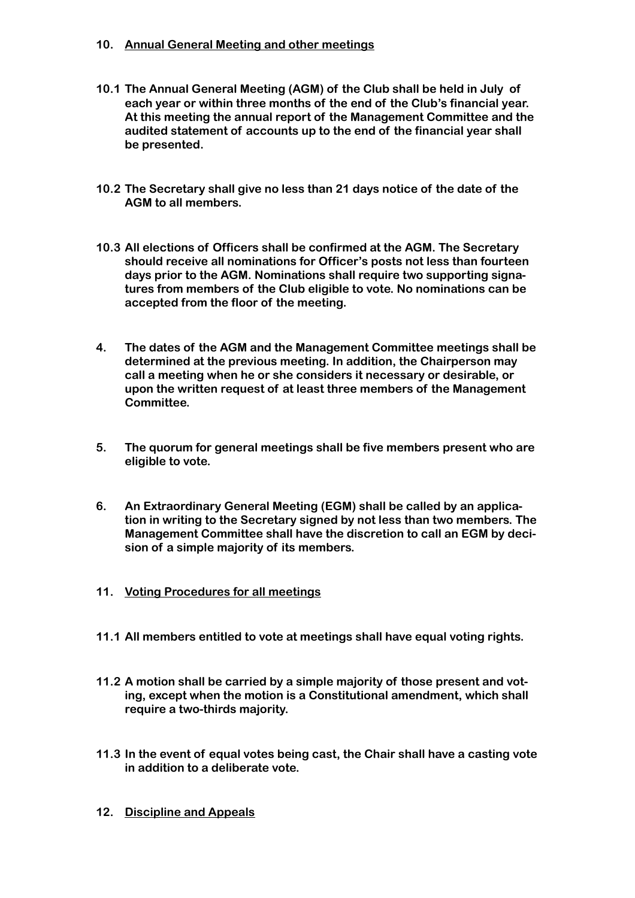## **10. Annual General Meeting and other meetings**

- **10.1 The Annual General Meeting (AGM) of the Club shall be held in July of each year or within three months of the end of the Club's financial year. At this meeting the annual report of the Management Committee and the audited statement of accounts up to the end of the financial year shall be presented.**
- **10.2 The Secretary shall give no less than 21 days notice of the date of the AGM to all members.**
- **10.3 All elections of Officers shall be confirmed at the AGM. The Secretary should receive all nominations for Officer's posts not less than fourteen days prior to the AGM. Nominations shall require two supporting signatures from members of the Club eligible to vote. No nominations can be accepted from the floor of the meeting.**
- **4. The dates of the AGM and the Management Committee meetings shall be determined at the previous meeting. In addition, the Chairperson may call a meeting when he or she considers it necessary or desirable, or upon the written request of at least three members of the Management Committee.**
- **5. The quorum for general meetings shall be five members present who are eligible to vote.**
- **6. An Extraordinary General Meeting (EGM) shall be called by an application in writing to the Secretary signed by not less than two members. The Management Committee shall have the discretion to call an EGM by decision of a simple majority of its members.**
- **11. Voting Procedures for all meetings**
- **11.1 All members entitled to vote at meetings shall have equal voting rights.**
- **11.2 A motion shall be carried by a simple majority of those present and voting, except when the motion is a Constitutional amendment, which shall require a two-thirds majority.**
- **11.3 In the event of equal votes being cast, the Chair shall have a casting vote in addition to a deliberate vote.**
- **12. Discipline and Appeals**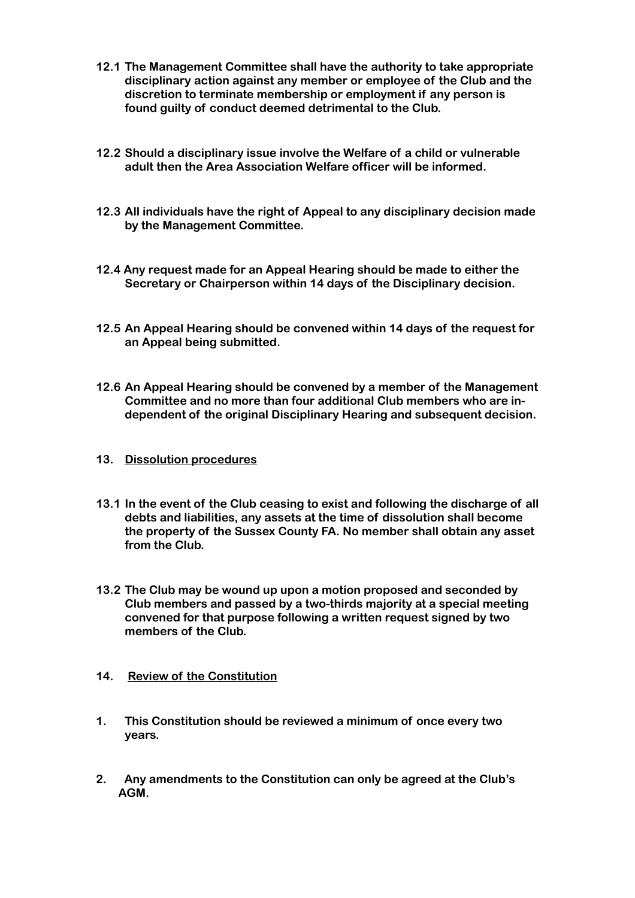- **12.1 The Management Committee shall have the authority to take appropriate disciplinary action against any member or employee of the Club and the discretion to terminate membership or employment if any person is found guilty of conduct deemed detrimental to the Club.**
- **12.2 Should a disciplinary issue involve the Welfare of a child or vulnerable adult then the Area Association Welfare officer will be informed.**
- **12.3 All individuals have the right of Appeal to any disciplinary decision made by the Management Committee.**
- **12.4 Any request made for an Appeal Hearing should be made to either the Secretary or Chairperson within 14 days of the Disciplinary decision.**
- **12.5 An Appeal Hearing should be convened within 14 days of the request for an Appeal being submitted.**
- **12.6 An Appeal Hearing should be convened by a member of the Management Committee and no more than four additional Club members who are independent of the original Disciplinary Hearing and subsequent decision.**
- **13. Dissolution procedures**
- **13.1 In the event of the Club ceasing to exist and following the discharge of all debts and liabilities, any assets at the time of dissolution shall become the property of the Sussex County FA. No member shall obtain any asset from the Club.**
- **13.2 The Club may be wound up upon a motion proposed and seconded by Club members and passed by a two-thirds majority at a special meeting convened for that purpose following a written request signed by two members of the Club.**
- **14. Review of the Constitution**
- **1. This Constitution should be reviewed a minimum of once every two years.**
- **2. Any amendments to the Constitution can only be agreed at the Club's AGM.**